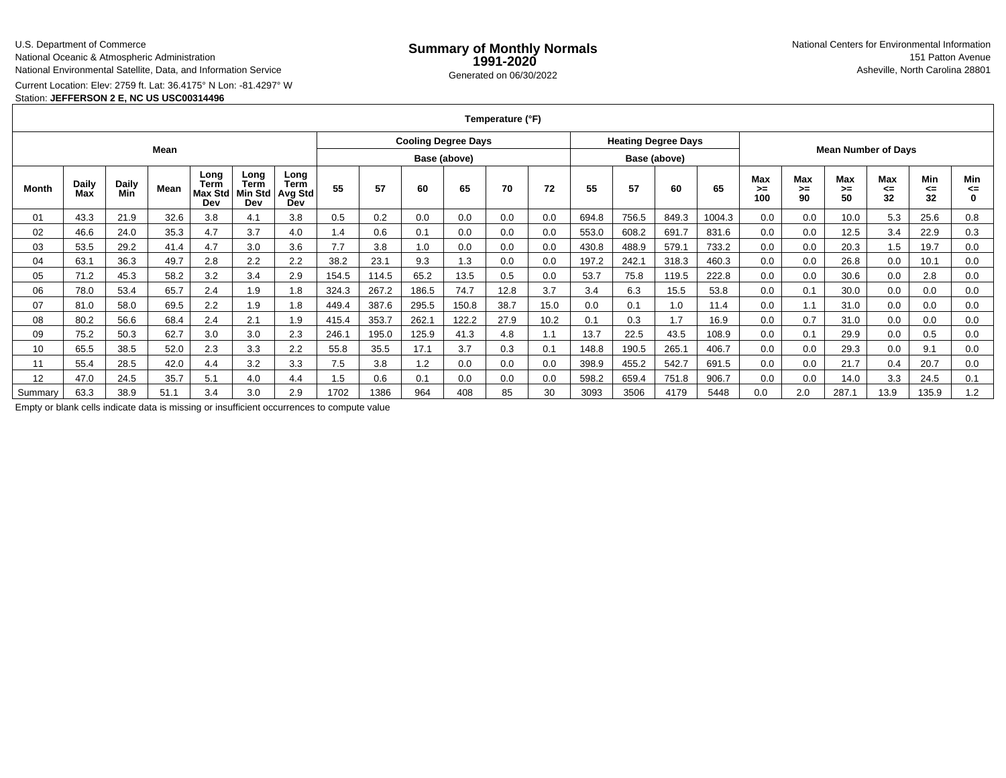## U.S. Department of Commerce

National Oceanic & Atmospheric Administration

National Environmental Satellite, Data, and Information Service

Current Location: Elev: 2759 ft. Lat: 36.4175° N Lon: -81.4297° W

# Station: **JEFFERSON 2 E, NC US USC00314496**

**Temperature (°F)**

| Mean    |                     |                     |      |                                |                                |                                              | <b>Cooling Degree Days</b> |       |       |       |      | <b>Heating Degree Days</b> |       |       | <b>Mean Number of Days</b> |        |                  |                 |                        |                 |                 |                |
|---------|---------------------|---------------------|------|--------------------------------|--------------------------------|----------------------------------------------|----------------------------|-------|-------|-------|------|----------------------------|-------|-------|----------------------------|--------|------------------|-----------------|------------------------|-----------------|-----------------|----------------|
|         |                     |                     |      |                                |                                |                                              | Base (above)               |       |       |       |      | Base (above)               |       |       |                            |        |                  |                 |                        |                 |                 |                |
| Month   | <b>Daily</b><br>Max | <b>Daily</b><br>Min | Mean | Long<br>Term<br>Max Std<br>Dev | Long<br>Term<br>Min Std<br>Dev | Long<br><b>Term</b><br><b>Avg Std</b><br>Dev | 55                         | 57    | 60    | 65    | 70   | 72                         | 55    | 57    | 60                         | 65     | Max<br>>≕<br>100 | Max<br>≻=<br>90 | <b>Max</b><br>≻=<br>50 | Max<br><=<br>32 | Min<br><=<br>32 | Min<br><=<br>0 |
| 01      | 43.3                | 21.9                | 32.6 | 3.8                            | 4.1                            | 3.8                                          | 0.5                        | 0.2   | 0.0   | 0.0   | 0.0  | 0.0                        | 694.8 | 756.5 | 849.3                      | 1004.3 | 0.0              | 0.0             | 10.0                   | 5.3             | 25.6            | 0.8            |
| 02      | 46.6                | 24.0                | 35.3 | 4.7                            | 3.7                            | 4.0                                          | 1.4                        | 0.6   | 0.1   | 0.0   | 0.0  | 0.0                        | 553.0 | 608.2 | 691.7                      | 831.6  | 0.0              | 0.0             | 12.5                   | 3.4             | 22.9            | 0.3            |
| 03      | 53.5                | 29.2                | 41.4 | 4.7                            | 3.0                            | 3.6                                          | 7.7                        | 3.8   | 1.0   | 0.0   | 0.0  | 0.0                        | 430.8 | 488.9 | 579.1                      | 733.2  | 0.0              | 0.0             | 20.3                   | 1.5             | 19.7            | 0.0            |
| 04      | 63.1                | 36.3                | 49.7 | 2.8                            | 2.2                            | 2.2                                          | 38.2                       | 23.1  | 9.3   | 1.3   | 0.0  | 0.0                        | 197.2 | 242.1 | 318.3                      | 460.3  | 0.0              | 0.0             | 26.8                   | 0.0             | 10.1            | 0.0            |
| 05      | 71.2                | 45.3                | 58.2 | 3.2                            | 3.4                            | 2.9                                          | 154.5                      | 114.5 | 65.2  | 13.5  | 0.5  | 0.0                        | 53.7  | 75.8  | 119.5                      | 222.8  | 0.0              | 0.0             | 30.6                   | 0.0             | 2.8             | 0.0            |
| 06      | 78.0                | 53.4                | 65.7 | 2.4                            | 1.9                            | 1.8                                          | 324.3                      | 267.2 | 186.5 | 74.7  | 12.8 | 3.7                        | 3.4   | 6.3   | 15.5                       | 53.8   | 0.0              | 0.1             | 30.0                   | 0.0             | 0.0             | 0.0            |
| 07      | 81.0                | 58.0                | 69.5 | 2.2                            | 1.9                            | 1.8                                          | 449.4                      | 387.6 | 295.5 | 150.8 | 38.7 | 15.0                       | 0.0   | 0.1   | 1.0                        | 11.4   | 0.0              | 1.1             | 31.0                   | 0.0             | 0.0             | 0.0            |
| 08      | 80.2                | 56.6                | 68.4 | 2.4                            | 2.1                            | 1.9                                          | 415.4                      | 353.7 | 262.  | 122.2 | 27.9 | 10.2                       | 0.1   | 0.3   | 1.7                        | 16.9   | 0.0              | 0.7             | 31.0                   | 0.0             | 0.0             | 0.0            |
| 09      | 75.2                | 50.3                | 62.7 | 3.0                            | 3.0                            | 2.3                                          | 246.1                      | 195.0 | 125.9 | 41.3  | 4.8  | 1.1                        | 13.7  | 22.5  | 43.5                       | 108.9  | 0.0              | 0.1             | 29.9                   | 0.0             | 0.5             | 0.0            |
| 10      | 65.5                | 38.5                | 52.0 | 2.3                            | 3.3                            | 2.2                                          | 55.8                       | 35.5  | 17.1  | 3.7   | 0.3  | 0.1                        | 148.8 | 190.5 | 265.1                      | 406.7  | 0.0              | 0.0             | 29.3                   | 0.0             | 9.1             | 0.0            |
| 11      | 55.4                | 28.5                | 42.0 | 4.4                            | 3.2                            | 3.3                                          | 7.5                        | 3.8   | 1.2   | 0.0   | 0.0  | 0.0                        | 398.9 | 455.2 | 542.7                      | 691.5  | 0.0              | 0.0             | 21.7                   | 0.4             | 20.7            | 0.0            |
| 12      | 47.0                | 24.5                | 35.7 | 5.1                            | 4.0                            | 4.4                                          | 1.5                        | 0.6   | 0.1   | 0.0   | 0.0  | 0.0                        | 598.2 | 659.4 | 751.8                      | 906.7  | 0.0              | 0.0             | 14.0                   | 3.3             | 24.5            | 0.1            |
| Summary | 63.3                | 38.9                | 51.1 | 3.4                            | 3.0                            | 2.9                                          | 1702                       | 1386  | 964   | 408   | 85   | 30                         | 3093  | 3506  | 4179                       | 5448   | 0.0              | 2.0             | 287.1                  | 13.9            | 135.9           | 1.2            |

Empty or blank cells indicate data is missing or insufficient occurrences to compute value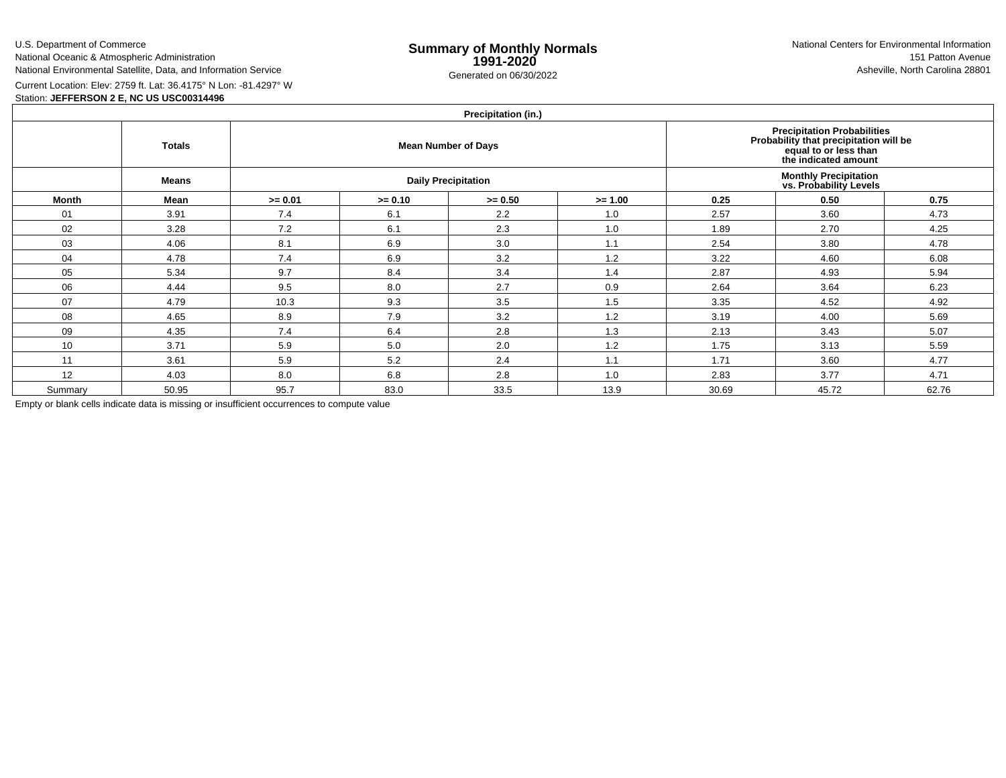U.S. Department of CommerceNational Oceanic & Atmospheric Administration

National Environmental Satellite, Data, and Information Service

e **Summary of Monthly Normals**<br> **1991-2020** 151 Patton Avenue **1991-2020** 1997-2020 e Generated on 06/30/2022 Asheville, North Carolina 28801 National Centers for Environmental Information151 Patton Avenue

Current Location: Elev: 2759 ft. Lat: 36.4175° N Lon: -81.4297° W

# Station: **JEFFERSON 2 E, NC US USC00314496**

# **Precipitation (in.)**

| $1.1$ Guphlation (in.) |               |           |           |                            |                                                                                                                        |       |       |       |  |  |  |  |
|------------------------|---------------|-----------|-----------|----------------------------|------------------------------------------------------------------------------------------------------------------------|-------|-------|-------|--|--|--|--|
|                        | <b>Totals</b> |           |           | <b>Mean Number of Days</b> | Precipitation Probabilities<br>Probability that precipitation will be<br>equal to or less than<br>the indicated amount |       |       |       |  |  |  |  |
|                        | <b>Means</b>  |           |           | <b>Daily Precipitation</b> | <b>Monthly Precipitation<br/>vs. Probability Levels</b>                                                                |       |       |       |  |  |  |  |
| <b>Month</b>           | Mean          | $>= 0.01$ | $>= 0.10$ | $>= 0.50$                  | $>= 1.00$                                                                                                              | 0.25  | 0.50  | 0.75  |  |  |  |  |
| 01                     | 3.91          | 7.4       | 6.1       | 2.2                        | 1.0                                                                                                                    | 2.57  | 3.60  | 4.73  |  |  |  |  |
| 02                     | 3.28          | 7.2       | 6.1       | 2.3                        | 1.0                                                                                                                    | 1.89  | 2.70  | 4.25  |  |  |  |  |
| 03                     | 4.06          | 8.1       | 6.9       | 3.0                        | 1.1                                                                                                                    | 2.54  | 3.80  | 4.78  |  |  |  |  |
| 04                     | 4.78          | 7.4       | 6.9       | 3.2                        | 1.2                                                                                                                    | 3.22  | 4.60  | 6.08  |  |  |  |  |
| 05                     | 5.34          | 9.7       | 8.4       | 3.4                        | 1.4                                                                                                                    | 2.87  | 4.93  | 5.94  |  |  |  |  |
| 06                     | 4.44          | 9.5       | 8.0       | 2.7                        | 0.9                                                                                                                    | 2.64  | 3.64  | 6.23  |  |  |  |  |
| 07                     | 4.79          | 10.3      | 9.3       | 3.5                        | 1.5                                                                                                                    | 3.35  | 4.52  | 4.92  |  |  |  |  |
| 08                     | 4.65          | 8.9       | 7.9       | 3.2                        | 1.2                                                                                                                    | 3.19  | 4.00  | 5.69  |  |  |  |  |
| 09                     | 4.35          | 7.4       | 6.4       | 2.8                        | 1.3                                                                                                                    | 2.13  | 3.43  | 5.07  |  |  |  |  |
| 10                     | 3.71          | 5.9       | 5.0       | 2.0                        | 1.2                                                                                                                    | 1.75  | 3.13  | 5.59  |  |  |  |  |
| 11                     | 3.61          | 5.9       | 5.2       | 2.4                        | 1.1                                                                                                                    | 1.71  | 3.60  | 4.77  |  |  |  |  |
| 12                     | 4.03          | 8.0       | 6.8       | 2.8                        | 1.0                                                                                                                    | 2.83  | 3.77  | 4.71  |  |  |  |  |
| Summary                | 50.95         | 95.7      | 83.0      | 33.5                       | 13.9                                                                                                                   | 30.69 | 45.72 | 62.76 |  |  |  |  |

Empty or blank cells indicate data is missing or insufficient occurrences to compute value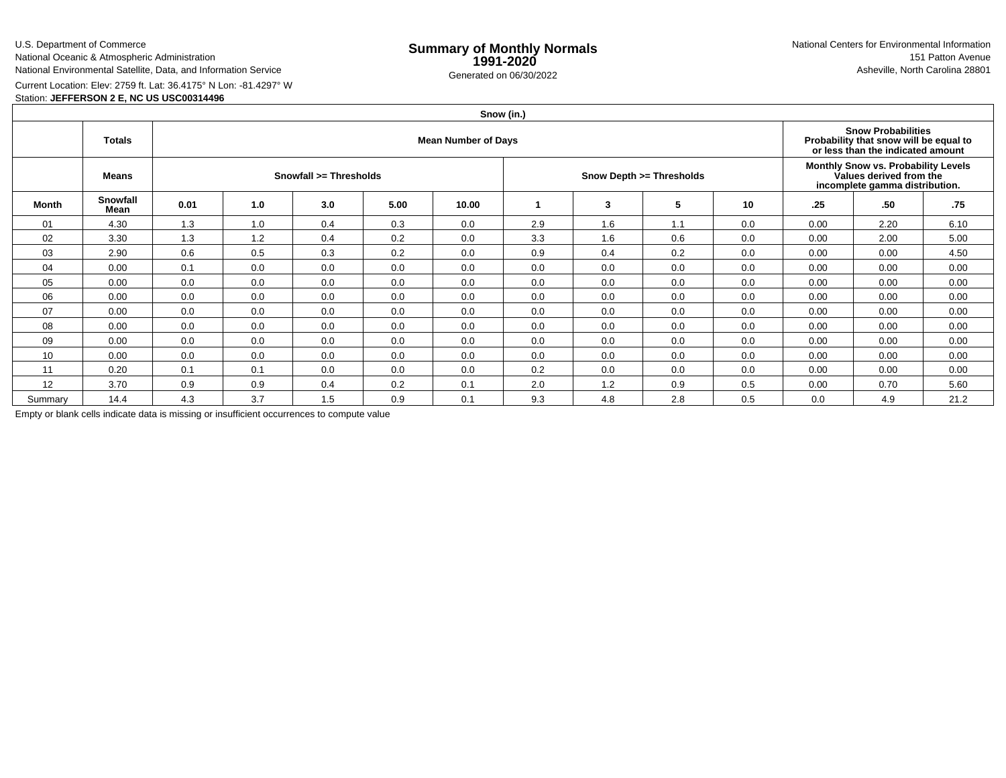U.S. Department of CommerceNational Oceanic & Atmospheric Administration

National Environmental Satellite, Data, and Information Service

e **Summary of Monthly Normals**<br> **1991-2020** 151 Patton Avenue **1991-2020** 1997-2020 e Generated on 06/30/2022 Asheville, North Carolina 28801 National Centers for Environmental Information151 Patton Avenue

Current Location: Elev: 2759 ft. Lat: 36.4175° N Lon: -81.4297° W

## Station: **JEFFERSON 2 E, NC US USC00314496**

#### **Snow (in.)Totals Mean Number of Days Snow Probabilities Probability that snow will be equal to or less than the indicated amountMeans Snowfall >= Thresholds Snow Depth >= Thresholds Monthly Snow vs. Probability LevelsValues derived from the incomplete gamma distribution.Month Snowfall Mean 0.01 1.0 3.0 5.00 10.00 <sup>1</sup> <sup>3</sup> <sup>5</sup> <sup>10</sup> .25 .50 .75** 01 4.30 1.3 1.0 0.4 0.3 0.0 2.9 1.6 1.1 0.0 0.00 2.20 6.10 02 3.30 1.3 1.2 0.4 0.2 0.0 3.3 1.6 0.6 0.0 0.00 2.00 5.00 03 2.90 0.6 0.5 0.3 0.2 0.0 0.9 0.4 0.2 0.0 0.00 0.00 4.50 04 0.00 0.1 0.0 0.0 0.0 0.0 0.0 0.0 0.0 0.0 0.00 0.00 0.00 05 0.00 0.0 0.0 0.0 0.0 0.0 0.0 0.0 0.0 0.0 0.00 0.00 0.00 06 0.00 0.0 0.0 0.0 0.0 0.0 0.0 0.0 0.0 0.0 0.00 0.00 0.00 07 0.00 0.0 0.0 0.0 0.0 0.0 0.0 0.0 0.0 0.0 0.00 0.00 0.00 08 0.00 0.0 0.0 0.0 0.0 0.0 0.0 0.0 0.0 0.0 0.00 0.00 0.00 09 0.00 0.0 0.0 0.0 0.0 0.0 0.0 0.0 0.0 0.0 0.00 0.00 0.00 10 0.00 0.0 0.0 0.0 0.0 0.0 0.0 0.0 0.0 0.0 0.00 0.00 0.00 11 0.20 0.1 0.1 0.0 0.0 0.0 0.2 0.0 0.0 0.0 0.00 0.00 0.00 12 3.70 0.9 0.9 0.4 0.2 0.1 2.0 1.2 0.9 0.5 0.00 0.70 5.60 Summary 14.44 | 4.3 | 3.7 | 1.5 | 0.9 | 0.1 | 9.3 | 4.8 | 2.8 | 0.5 | 0.0 | 4.9 | 21.2

Empty or blank cells indicate data is missing or insufficient occurrences to compute value